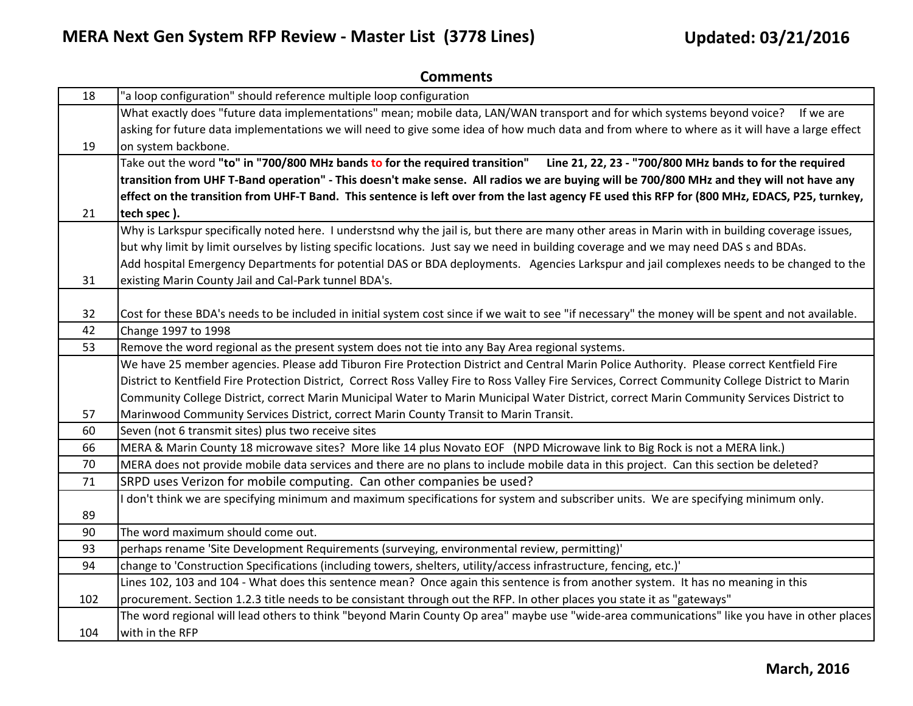| 18  | "a loop configuration" should reference multiple loop configuration                                                                                |
|-----|----------------------------------------------------------------------------------------------------------------------------------------------------|
|     | What exactly does "future data implementations" mean; mobile data, LAN/WAN transport and for which systems beyond voice? If we are                 |
|     | asking for future data implementations we will need to give some idea of how much data and from where to where as it will have a large effect      |
| 19  | on system backbone.                                                                                                                                |
|     | Take out the word "to" in "700/800 MHz bands to for the required transition" Line 21, 22, 23 - "700/800 MHz bands to for the required              |
|     | transition from UHF T-Band operation" - This doesn't make sense. All radios we are buying will be 700/800 MHz and they will not have any           |
|     | effect on the transition from UHF-T Band. This sentence is left over from the last agency FE used this RFP for (800 MHz, EDACS, P25, turnkey,      |
| 21  | tech spec).                                                                                                                                        |
|     | Why is Larkspur specifically noted here. I understsnd why the jail is, but there are many other areas in Marin with in building coverage issues,   |
|     | but why limit by limit ourselves by listing specific locations. Just say we need in building coverage and we may need DAS s and BDAs.              |
|     | Add hospital Emergency Departments for potential DAS or BDA deployments. Agencies Larkspur and jail complexes needs to be changed to the           |
| 31  | existing Marin County Jail and Cal-Park tunnel BDA's.                                                                                              |
|     |                                                                                                                                                    |
| 32  | Cost for these BDA's needs to be included in initial system cost since if we wait to see "if necessary" the money will be spent and not available. |
| 42  | Change 1997 to 1998                                                                                                                                |
| 53  | Remove the word regional as the present system does not tie into any Bay Area regional systems.                                                    |
|     | We have 25 member agencies. Please add Tiburon Fire Protection District and Central Marin Police Authority. Please correct Kentfield Fire          |
|     | District to Kentfield Fire Protection District, Correct Ross Valley Fire to Ross Valley Fire Services, Correct Community College District to Marin |
|     | Community College District, correct Marin Municipal Water to Marin Municipal Water District, correct Marin Community Services District to          |
| 57  | Marinwood Community Services District, correct Marin County Transit to Marin Transit.                                                              |
| 60  | Seven (not 6 transmit sites) plus two receive sites                                                                                                |
| 66  | MERA & Marin County 18 microwave sites? More like 14 plus Novato EOF (NPD Microwave link to Big Rock is not a MERA link.)                          |
| 70  | MERA does not provide mobile data services and there are no plans to include mobile data in this project. Can this section be deleted?             |
| 71  | SRPD uses Verizon for mobile computing. Can other companies be used?                                                                               |
|     | don't think we are specifying minimum and maximum specifications for system and subscriber units. We are specifying minimum only.                  |
| 89  |                                                                                                                                                    |
| 90  | The word maximum should come out.                                                                                                                  |
| 93  | perhaps rename 'Site Development Requirements (surveying, environmental review, permitting)'                                                       |
| 94  | change to 'Construction Specifications (including towers, shelters, utility/access infrastructure, fencing, etc.)'                                 |
|     | Lines 102, 103 and 104 - What does this sentence mean? Once again this sentence is from another system. It has no meaning in this                  |
| 102 | procurement. Section 1.2.3 title needs to be consistant through out the RFP. In other places you state it as "gateways"                            |
|     | The word regional will lead others to think "beyond Marin County Op area" maybe use "wide-area communications" like you have in other places       |
| 104 | with in the RFP                                                                                                                                    |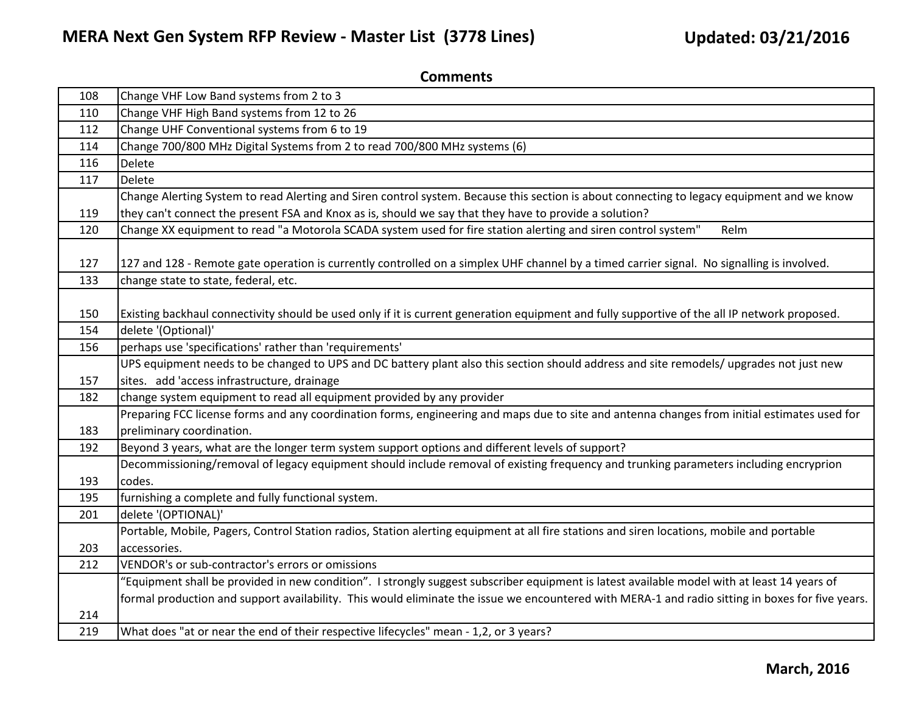| 108 | Change VHF Low Band systems from 2 to 3                                                                                                          |
|-----|--------------------------------------------------------------------------------------------------------------------------------------------------|
| 110 | Change VHF High Band systems from 12 to 26                                                                                                       |
| 112 | Change UHF Conventional systems from 6 to 19                                                                                                     |
| 114 | Change 700/800 MHz Digital Systems from 2 to read 700/800 MHz systems (6)                                                                        |
| 116 | Delete                                                                                                                                           |
| 117 | Delete                                                                                                                                           |
|     | Change Alerting System to read Alerting and Siren control system. Because this section is about connecting to legacy equipment and we know       |
| 119 | they can't connect the present FSA and Knox as is, should we say that they have to provide a solution?                                           |
| 120 | Change XX equipment to read "a Motorola SCADA system used for fire station alerting and siren control system"<br>Relm                            |
|     |                                                                                                                                                  |
| 127 | 127 and 128 - Remote gate operation is currently controlled on a simplex UHF channel by a timed carrier signal. No signalling is involved.       |
| 133 | change state to state, federal, etc.                                                                                                             |
|     |                                                                                                                                                  |
| 150 | Existing backhaul connectivity should be used only if it is current generation equipment and fully supportive of the all IP network proposed.    |
| 154 | delete '(Optional)'                                                                                                                              |
| 156 | perhaps use 'specifications' rather than 'requirements'                                                                                          |
|     | UPS equipment needs to be changed to UPS and DC battery plant also this section should address and site remodels/ upgrades not just new          |
| 157 | sites. add 'access infrastructure, drainage                                                                                                      |
| 182 | change system equipment to read all equipment provided by any provider                                                                           |
|     | Preparing FCC license forms and any coordination forms, engineering and maps due to site and antenna changes from initial estimates used for     |
| 183 | preliminary coordination.                                                                                                                        |
| 192 | Beyond 3 years, what are the longer term system support options and different levels of support?                                                 |
|     | Decommissioning/removal of legacy equipment should include removal of existing frequency and trunking parameters including encryprion            |
| 193 | codes.                                                                                                                                           |
| 195 | furnishing a complete and fully functional system.                                                                                               |
| 201 | delete '(OPTIONAL)'                                                                                                                              |
|     | Portable, Mobile, Pagers, Control Station radios, Station alerting equipment at all fire stations and siren locations, mobile and portable       |
| 203 | accessories.                                                                                                                                     |
| 212 | VENDOR's or sub-contractor's errors or omissions                                                                                                 |
|     | "Equipment shall be provided in new condition". I strongly suggest subscriber equipment is latest available model with at least 14 years of      |
|     | formal production and support availability. This would eliminate the issue we encountered with MERA-1 and radio sitting in boxes for five years. |
| 214 |                                                                                                                                                  |
| 219 | What does "at or near the end of their respective lifecycles" mean - 1,2, or 3 years?                                                            |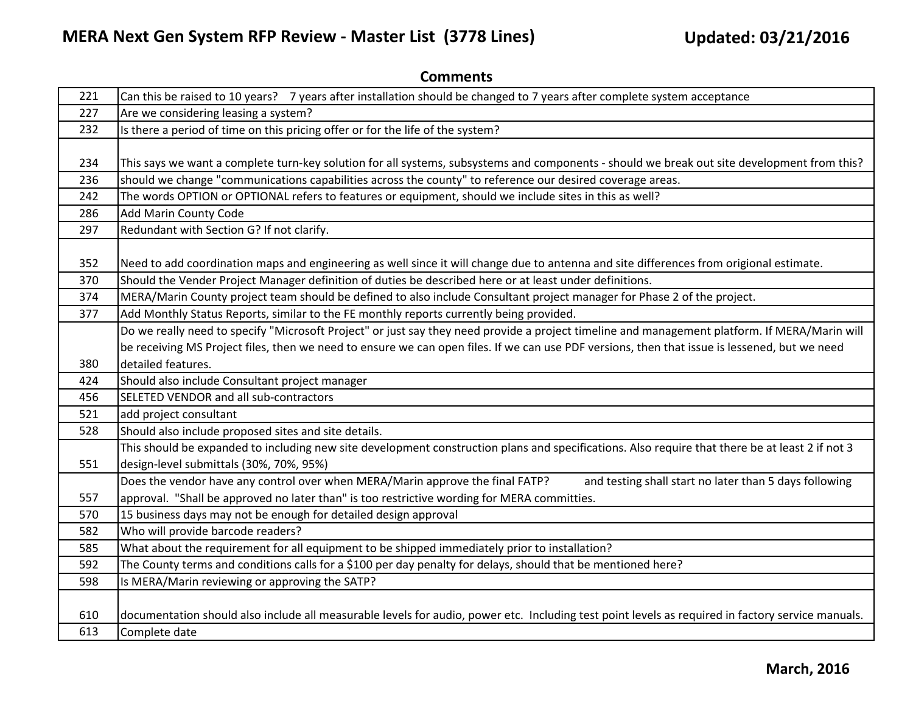| 221 | Can this be raised to 10 years? 7 years after installation should be changed to 7 years after complete system acceptance                          |
|-----|---------------------------------------------------------------------------------------------------------------------------------------------------|
| 227 | Are we considering leasing a system?                                                                                                              |
| 232 | Is there a period of time on this pricing offer or for the life of the system?                                                                    |
|     |                                                                                                                                                   |
| 234 | This says we want a complete turn-key solution for all systems, subsystems and components - should we break out site development from this?       |
| 236 | should we change "communications capabilities across the county" to reference our desired coverage areas.                                         |
| 242 | The words OPTION or OPTIONAL refers to features or equipment, should we include sites in this as well?                                            |
| 286 | <b>Add Marin County Code</b>                                                                                                                      |
| 297 | Redundant with Section G? If not clarify.                                                                                                         |
|     |                                                                                                                                                   |
| 352 | Need to add coordination maps and engineering as well since it will change due to antenna and site differences from origional estimate.           |
| 370 | Should the Vender Project Manager definition of duties be described here or at least under definitions.                                           |
| 374 | MERA/Marin County project team should be defined to also include Consultant project manager for Phase 2 of the project.                           |
| 377 | Add Monthly Status Reports, similar to the FE monthly reports currently being provided.                                                           |
|     | Do we really need to specify "Microsoft Project" or just say they need provide a project timeline and management platform. If MERA/Marin will     |
|     | be receiving MS Project files, then we need to ensure we can open files. If we can use PDF versions, then that issue is lessened, but we need     |
| 380 | Idetailed features.                                                                                                                               |
| 424 | Should also include Consultant project manager                                                                                                    |
| 456 | SELETED VENDOR and all sub-contractors                                                                                                            |
| 521 | add project consultant                                                                                                                            |
| 528 | Should also include proposed sites and site details.                                                                                              |
|     | This should be expanded to including new site development construction plans and specifications. Also require that there be at least 2 if not 3   |
| 551 | design-level submittals (30%, 70%, 95%)                                                                                                           |
|     | Does the vendor have any control over when MERA/Marin approve the final FATP?<br>and testing shall start no later than 5 days following           |
| 557 | approval. "Shall be approved no later than" is too restrictive wording for MERA committies.                                                       |
| 570 | 15 business days may not be enough for detailed design approval                                                                                   |
| 582 | Who will provide barcode readers?                                                                                                                 |
| 585 | What about the requirement for all equipment to be shipped immediately prior to installation?                                                     |
| 592 | The County terms and conditions calls for a \$100 per day penalty for delays, should that be mentioned here?                                      |
| 598 | Is MERA/Marin reviewing or approving the SATP?                                                                                                    |
|     |                                                                                                                                                   |
| 610 | documentation should also include all measurable levels for audio, power etc. Including test point levels as required in factory service manuals. |
| 613 | Complete date                                                                                                                                     |

**Comments**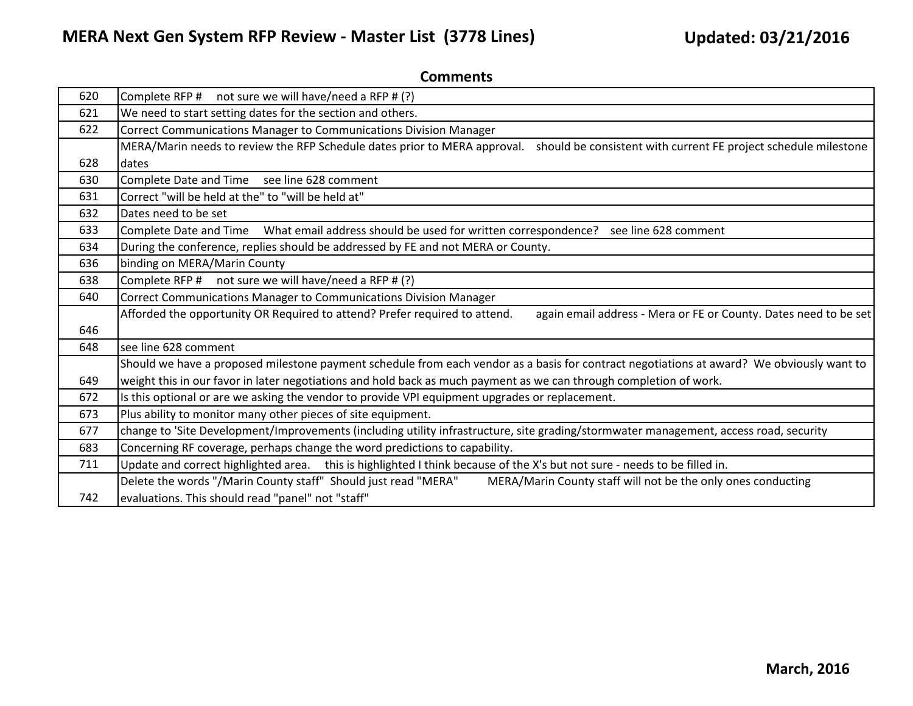| 620 | Complete RFP # not sure we will have/need a RFP # (?)                                                                                          |
|-----|------------------------------------------------------------------------------------------------------------------------------------------------|
| 621 | We need to start setting dates for the section and others.                                                                                     |
| 622 | Correct Communications Manager to Communications Division Manager                                                                              |
|     | MERA/Marin needs to review the RFP Schedule dates prior to MERA approval. should be consistent with current FE project schedule milestone      |
| 628 | Idates                                                                                                                                         |
| 630 | Complete Date and Time see line 628 comment                                                                                                    |
| 631 | Correct "will be held at the" to "will be held at"                                                                                             |
| 632 | Dates need to be set                                                                                                                           |
| 633 | What email address should be used for written correspondence? see line 628 comment<br>Complete Date and Time                                   |
| 634 | During the conference, replies should be addressed by FE and not MERA or County.                                                               |
| 636 | binding on MERA/Marin County                                                                                                                   |
| 638 | Complete RFP # not sure we will have/need a RFP # (?)                                                                                          |
| 640 | Correct Communications Manager to Communications Division Manager                                                                              |
|     | Afforded the opportunity OR Required to attend? Prefer required to attend.<br>again email address - Mera or FE or County. Dates need to be set |
| 646 |                                                                                                                                                |
| 648 | see line 628 comment                                                                                                                           |
|     | Should we have a proposed milestone payment schedule from each vendor as a basis for contract negotiations at award? We obviously want to      |
| 649 | weight this in our favor in later negotiations and hold back as much payment as we can through completion of work.                             |
| 672 | Is this optional or are we asking the vendor to provide VPI equipment upgrades or replacement.                                                 |
| 673 | Plus ability to monitor many other pieces of site equipment.                                                                                   |
| 677 | change to 'Site Development/Improvements (including utility infrastructure, site grading/stormwater management, access road, security          |
| 683 | Concerning RF coverage, perhaps change the word predictions to capability.                                                                     |
| 711 | Update and correct highlighted area. this is highlighted I think because of the X's but not sure - needs to be filled in.                      |
|     | Delete the words "/Marin County staff" Should just read "MERA"<br>MERA/Marin County staff will not be the only ones conducting                 |
| 742 | evaluations. This should read "panel" not "staff"                                                                                              |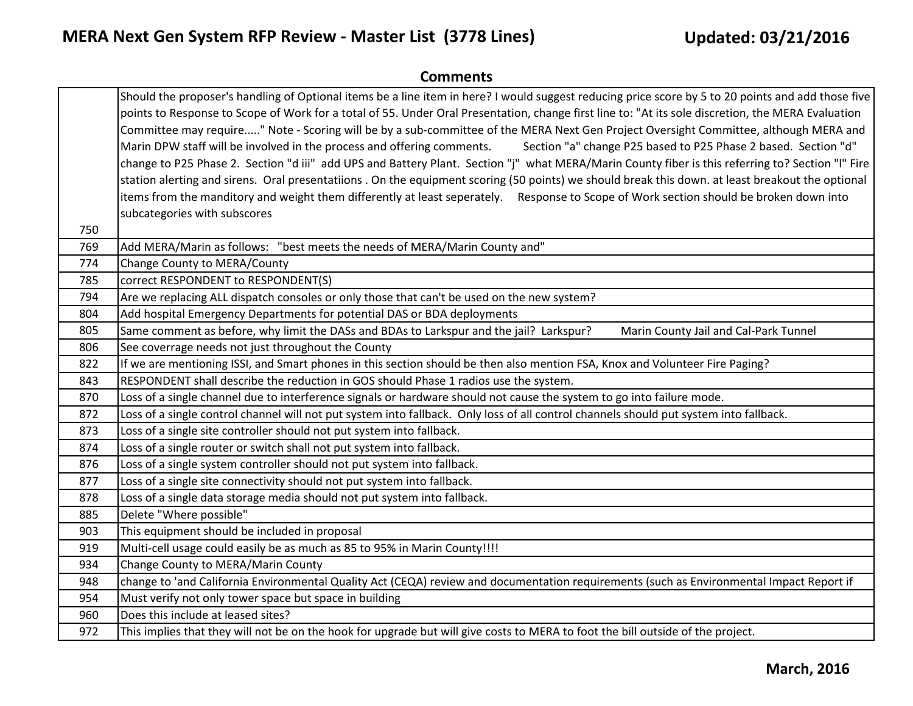| <b>Comments</b> |                                                                                                                                                                                                                                                                                                                                                                                                                                                                                                                                                                                                                                                                                                                                                                                                                                                                                                                                                                                                                                                                                    |
|-----------------|------------------------------------------------------------------------------------------------------------------------------------------------------------------------------------------------------------------------------------------------------------------------------------------------------------------------------------------------------------------------------------------------------------------------------------------------------------------------------------------------------------------------------------------------------------------------------------------------------------------------------------------------------------------------------------------------------------------------------------------------------------------------------------------------------------------------------------------------------------------------------------------------------------------------------------------------------------------------------------------------------------------------------------------------------------------------------------|
|                 | Should the proposer's handling of Optional items be a line item in here? I would suggest reducing price score by 5 to 20 points and add those five<br>points to Response to Scope of Work for a total of 55. Under Oral Presentation, change first line to: "At its sole discretion, the MERA Evaluation<br>Committee may require" Note - Scoring will be by a sub-committee of the MERA Next Gen Project Oversight Committee, although MERA and<br>Marin DPW staff will be involved in the process and offering comments.<br>Section "a" change P25 based to P25 Phase 2 based. Section "d"<br>change to P25 Phase 2. Section "d iii" add UPS and Battery Plant. Section "j" what MERA/Marin County fiber is this referring to? Section "I" Fire<br>station alerting and sirens. Oral presentatiions. On the equipment scoring (50 points) we should break this down. at least breakout the optional<br>items from the manditory and weight them differently at least seperately.<br>Response to Scope of Work section should be broken down into<br>subcategories with subscores |
| 750             |                                                                                                                                                                                                                                                                                                                                                                                                                                                                                                                                                                                                                                                                                                                                                                                                                                                                                                                                                                                                                                                                                    |
| 769             | Add MERA/Marin as follows: "best meets the needs of MERA/Marin County and"                                                                                                                                                                                                                                                                                                                                                                                                                                                                                                                                                                                                                                                                                                                                                                                                                                                                                                                                                                                                         |
| 774             | Change County to MERA/County                                                                                                                                                                                                                                                                                                                                                                                                                                                                                                                                                                                                                                                                                                                                                                                                                                                                                                                                                                                                                                                       |
| 785             | correct RESPONDENT to RESPONDENT(S)                                                                                                                                                                                                                                                                                                                                                                                                                                                                                                                                                                                                                                                                                                                                                                                                                                                                                                                                                                                                                                                |
| 794             | Are we replacing ALL dispatch consoles or only those that can't be used on the new system?                                                                                                                                                                                                                                                                                                                                                                                                                                                                                                                                                                                                                                                                                                                                                                                                                                                                                                                                                                                         |
| 804             | Add hospital Emergency Departments for potential DAS or BDA deployments                                                                                                                                                                                                                                                                                                                                                                                                                                                                                                                                                                                                                                                                                                                                                                                                                                                                                                                                                                                                            |
| 805             | Same comment as before, why limit the DASs and BDAs to Larkspur and the jail? Larkspur?<br>Marin County Jail and Cal-Park Tunnel                                                                                                                                                                                                                                                                                                                                                                                                                                                                                                                                                                                                                                                                                                                                                                                                                                                                                                                                                   |
| 806             | See coverrage needs not just throughout the County                                                                                                                                                                                                                                                                                                                                                                                                                                                                                                                                                                                                                                                                                                                                                                                                                                                                                                                                                                                                                                 |
| 822             | If we are mentioning ISSI, and Smart phones in this section should be then also mention FSA, Knox and Volunteer Fire Paging?                                                                                                                                                                                                                                                                                                                                                                                                                                                                                                                                                                                                                                                                                                                                                                                                                                                                                                                                                       |
| 843             | RESPONDENT shall describe the reduction in GOS should Phase 1 radios use the system.                                                                                                                                                                                                                                                                                                                                                                                                                                                                                                                                                                                                                                                                                                                                                                                                                                                                                                                                                                                               |
| 870             | Loss of a single channel due to interference signals or hardware should not cause the system to go into failure mode.                                                                                                                                                                                                                                                                                                                                                                                                                                                                                                                                                                                                                                                                                                                                                                                                                                                                                                                                                              |
| 872             | Loss of a single control channel will not put system into fallback. Only loss of all control channels should put system into fallback.                                                                                                                                                                                                                                                                                                                                                                                                                                                                                                                                                                                                                                                                                                                                                                                                                                                                                                                                             |
| 873             | Loss of a single site controller should not put system into fallback.                                                                                                                                                                                                                                                                                                                                                                                                                                                                                                                                                                                                                                                                                                                                                                                                                                                                                                                                                                                                              |
| 874             | Loss of a single router or switch shall not put system into fallback.                                                                                                                                                                                                                                                                                                                                                                                                                                                                                                                                                                                                                                                                                                                                                                                                                                                                                                                                                                                                              |
| 876             | Loss of a single system controller should not put system into fallback.                                                                                                                                                                                                                                                                                                                                                                                                                                                                                                                                                                                                                                                                                                                                                                                                                                                                                                                                                                                                            |
| 877             | Loss of a single site connectivity should not put system into fallback.                                                                                                                                                                                                                                                                                                                                                                                                                                                                                                                                                                                                                                                                                                                                                                                                                                                                                                                                                                                                            |
| 878             | Loss of a single data storage media should not put system into fallback.                                                                                                                                                                                                                                                                                                                                                                                                                                                                                                                                                                                                                                                                                                                                                                                                                                                                                                                                                                                                           |
| 885             | Delete "Where possible"                                                                                                                                                                                                                                                                                                                                                                                                                                                                                                                                                                                                                                                                                                                                                                                                                                                                                                                                                                                                                                                            |
| 903             | This equipment should be included in proposal                                                                                                                                                                                                                                                                                                                                                                                                                                                                                                                                                                                                                                                                                                                                                                                                                                                                                                                                                                                                                                      |
| 919             | Multi-cell usage could easily be as much as 85 to 95% in Marin County!!!!                                                                                                                                                                                                                                                                                                                                                                                                                                                                                                                                                                                                                                                                                                                                                                                                                                                                                                                                                                                                          |
| 934             | Change County to MERA/Marin County                                                                                                                                                                                                                                                                                                                                                                                                                                                                                                                                                                                                                                                                                                                                                                                                                                                                                                                                                                                                                                                 |
| 948             | change to 'and California Environmental Quality Act (CEQA) review and documentation requirements (such as Environmental Impact Report if                                                                                                                                                                                                                                                                                                                                                                                                                                                                                                                                                                                                                                                                                                                                                                                                                                                                                                                                           |
| 954             | Must verify not only tower space but space in building                                                                                                                                                                                                                                                                                                                                                                                                                                                                                                                                                                                                                                                                                                                                                                                                                                                                                                                                                                                                                             |
| 960             | Does this include at leased sites?                                                                                                                                                                                                                                                                                                                                                                                                                                                                                                                                                                                                                                                                                                                                                                                                                                                                                                                                                                                                                                                 |
| 972             | This implies that they will not be on the hook for upgrade but will give costs to MERA to foot the bill outside of the project.                                                                                                                                                                                                                                                                                                                                                                                                                                                                                                                                                                                                                                                                                                                                                                                                                                                                                                                                                    |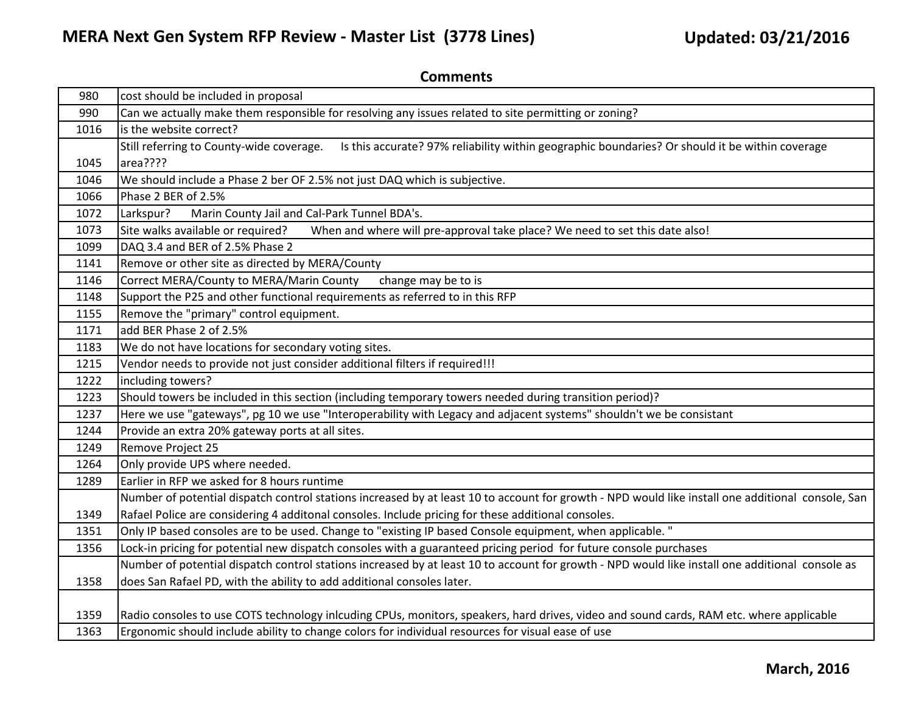| 980  | cost should be included in proposal                                                                                                               |
|------|---------------------------------------------------------------------------------------------------------------------------------------------------|
| 990  | Can we actually make them responsible for resolving any issues related to site permitting or zoning?                                              |
| 1016 | is the website correct?                                                                                                                           |
|      | Still referring to County-wide coverage.<br>Is this accurate? 97% reliability within geographic boundaries? Or should it be within coverage       |
| 1045 | area????                                                                                                                                          |
| 1046 | We should include a Phase 2 ber OF 2.5% not just DAQ which is subjective.                                                                         |
| 1066 | Phase 2 BER of 2.5%                                                                                                                               |
| 1072 | Marin County Jail and Cal-Park Tunnel BDA's.<br>Larkspur?                                                                                         |
| 1073 | Site walks available or required?<br>When and where will pre-approval take place? We need to set this date also!                                  |
| 1099 | DAQ 3.4 and BER of 2.5% Phase 2                                                                                                                   |
| 1141 | Remove or other site as directed by MERA/County                                                                                                   |
| 1146 | Correct MERA/County to MERA/Marin County<br>change may be to is                                                                                   |
| 1148 | Support the P25 and other functional requirements as referred to in this RFP                                                                      |
| 1155 | Remove the "primary" control equipment.                                                                                                           |
| 1171 | add BER Phase 2 of 2.5%                                                                                                                           |
| 1183 | We do not have locations for secondary voting sites.                                                                                              |
| 1215 | Vendor needs to provide not just consider additional filters if required!!!                                                                       |
| 1222 | including towers?                                                                                                                                 |
| 1223 | Should towers be included in this section (including temporary towers needed during transition period)?                                           |
| 1237 | Here we use "gateways", pg 10 we use "Interoperability with Legacy and adjacent systems" shouldn't we be consistant                               |
| 1244 | Provide an extra 20% gateway ports at all sites.                                                                                                  |
| 1249 | Remove Project 25                                                                                                                                 |
| 1264 | Only provide UPS where needed.                                                                                                                    |
| 1289 | Earlier in RFP we asked for 8 hours runtime                                                                                                       |
|      | Number of potential dispatch control stations increased by at least 10 to account for growth - NPD would like install one additional console, San |
| 1349 | Rafael Police are considering 4 additonal consoles. Include pricing for these additional consoles.                                                |
| 1351 | Only IP based consoles are to be used. Change to "existing IP based Console equipment, when applicable."                                          |
| 1356 | Lock-in pricing for potential new dispatch consoles with a guaranteed pricing period for future console purchases                                 |
|      | Number of potential dispatch control stations increased by at least 10 to account for growth - NPD would like install one additional console as   |
| 1358 | does San Rafael PD, with the ability to add additional consoles later.                                                                            |
|      |                                                                                                                                                   |
| 1359 | Radio consoles to use COTS technology inlcuding CPUs, monitors, speakers, hard drives, video and sound cards, RAM etc. where applicable           |
| 1363 | Ergonomic should include ability to change colors for individual resources for visual ease of use                                                 |
|      |                                                                                                                                                   |

**Comments**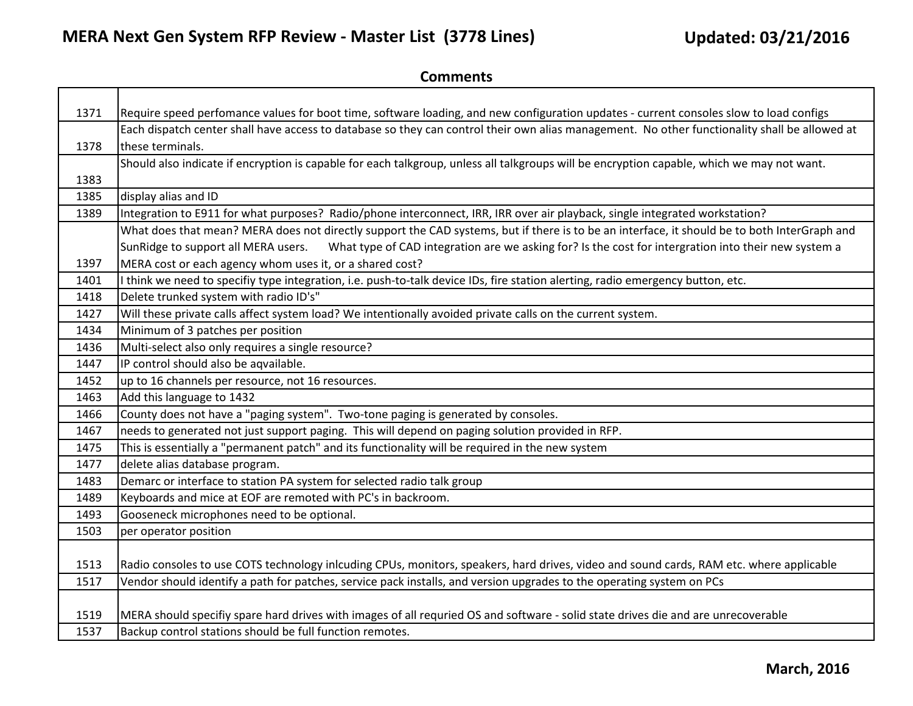| 1371 | Require speed perfomance values for boot time, software loading, and new configuration updates - current consoles slow to load configs        |
|------|-----------------------------------------------------------------------------------------------------------------------------------------------|
|      | Each dispatch center shall have access to database so they can control their own alias management. No other functionality shall be allowed at |
| 1378 | these terminals.                                                                                                                              |
|      | Should also indicate if encryption is capable for each talkgroup, unless all talkgroups will be encryption capable, which we may not want.    |
| 1383 |                                                                                                                                               |
| 1385 | display alias and ID                                                                                                                          |
| 1389 | Integration to E911 for what purposes? Radio/phone interconnect, IRR, IRR over air playback, single integrated workstation?                   |
|      | What does that mean? MERA does not directly support the CAD systems, but if there is to be an interface, it should be to both InterGraph and  |
|      | What type of CAD integration are we asking for? Is the cost for intergration into their new system a<br>SunRidge to support all MERA users.   |
| 1397 | MERA cost or each agency whom uses it, or a shared cost?                                                                                      |
| 1401 | think we need to specifiy type integration, i.e. push-to-talk device IDs, fire station alerting, radio emergency button, etc.                 |
| 1418 | Delete trunked system with radio ID's"                                                                                                        |
| 1427 | Will these private calls affect system load? We intentionally avoided private calls on the current system.                                    |
| 1434 | Minimum of 3 patches per position                                                                                                             |
| 1436 | Multi-select also only requires a single resource?                                                                                            |
| 1447 | IP control should also be aqvailable.                                                                                                         |
| 1452 | up to 16 channels per resource, not 16 resources.                                                                                             |
| 1463 | Add this language to 1432                                                                                                                     |
| 1466 | County does not have a "paging system". Two-tone paging is generated by consoles.                                                             |
| 1467 | needs to generated not just support paging. This will depend on paging solution provided in RFP.                                              |
| 1475 | This is essentially a "permanent patch" and its functionality will be required in the new system                                              |
| 1477 | delete alias database program.                                                                                                                |
| 1483 | Demarc or interface to station PA system for selected radio talk group                                                                        |
| 1489 | Keyboards and mice at EOF are remoted with PC's in backroom.                                                                                  |
| 1493 | Gooseneck microphones need to be optional.                                                                                                    |
| 1503 | per operator position                                                                                                                         |
|      |                                                                                                                                               |
| 1513 | Radio consoles to use COTS technology inlcuding CPUs, monitors, speakers, hard drives, video and sound cards, RAM etc. where applicable       |
| 1517 | Vendor should identify a path for patches, service pack installs, and version upgrades to the operating system on PCs                         |
|      |                                                                                                                                               |
| 1519 | MERA should specifiy spare hard drives with images of all requried OS and software - solid state drives die and are unrecoverable             |
| 1537 | Backup control stations should be full function remotes.                                                                                      |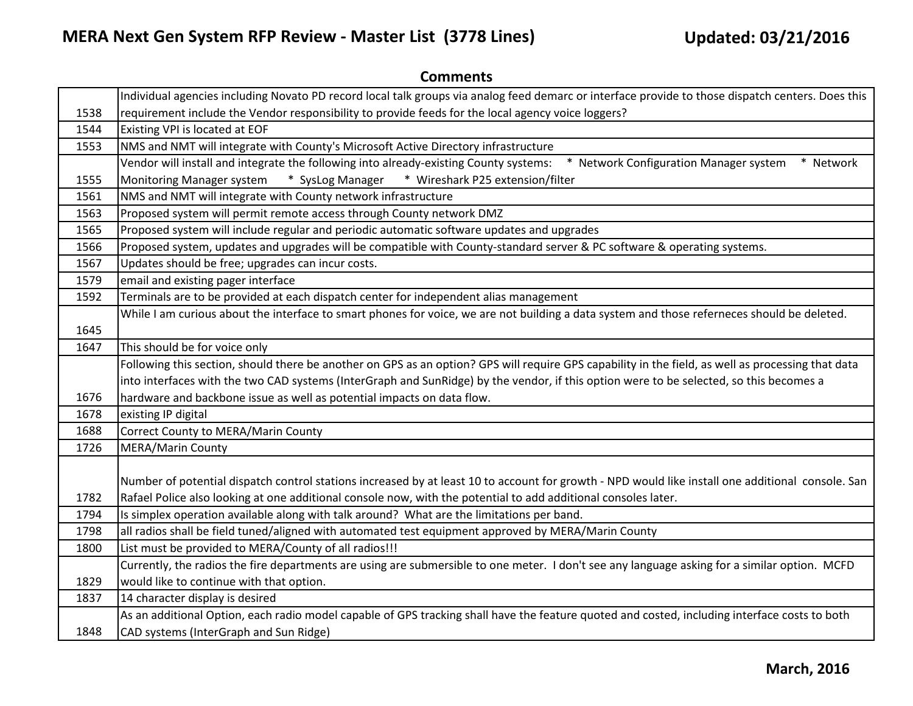|      | Individual agencies including Novato PD record local talk groups via analog feed demarc or interface provide to those dispatch centers. Does this  |
|------|----------------------------------------------------------------------------------------------------------------------------------------------------|
| 1538 | requirement include the Vendor responsibility to provide feeds for the local agency voice loggers?                                                 |
| 1544 | Existing VPI is located at EOF                                                                                                                     |
| 1553 | NMS and NMT will integrate with County's Microsoft Active Directory infrastructure                                                                 |
|      | Vendor will install and integrate the following into already-existing County systems:<br>* Network Configuration Manager system<br>* Network       |
| 1555 | Monitoring Manager system * SysLog Manager * Wireshark P25 extension/filter                                                                        |
| 1561 | NMS and NMT will integrate with County network infrastructure                                                                                      |
| 1563 | Proposed system will permit remote access through County network DMZ                                                                               |
| 1565 | Proposed system will include regular and periodic automatic software updates and upgrades                                                          |
| 1566 | Proposed system, updates and upgrades will be compatible with County-standard server & PC software & operating systems.                            |
| 1567 | Updates should be free; upgrades can incur costs.                                                                                                  |
| 1579 | email and existing pager interface                                                                                                                 |
| 1592 | Terminals are to be provided at each dispatch center for independent alias management                                                              |
|      | While I am curious about the interface to smart phones for voice, we are not building a data system and those referneces should be deleted.        |
| 1645 |                                                                                                                                                    |
| 1647 | This should be for voice only                                                                                                                      |
|      | Following this section, should there be another on GPS as an option? GPS will require GPS capability in the field, as well as processing that data |
|      | into interfaces with the two CAD systems (InterGraph and SunRidge) by the vendor, if this option were to be selected, so this becomes a            |
| 1676 | hardware and backbone issue as well as potential impacts on data flow.                                                                             |
| 1678 | existing IP digital                                                                                                                                |
| 1688 | Correct County to MERA/Marin County                                                                                                                |
| 1726 | <b>MERA/Marin County</b>                                                                                                                           |
|      |                                                                                                                                                    |
|      | Number of potential dispatch control stations increased by at least 10 to account for growth - NPD would like install one additional console. San  |
| 1782 | Rafael Police also looking at one additional console now, with the potential to add additional consoles later.                                     |
| 1794 | Is simplex operation available along with talk around? What are the limitations per band.                                                          |
| 1798 | all radios shall be field tuned/aligned with automated test equipment approved by MERA/Marin County                                                |
| 1800 | List must be provided to MERA/County of all radios!!!                                                                                              |
|      | Currently, the radios the fire departments are using are submersible to one meter. I don't see any language asking for a similar option. MCFD      |
| 1829 | would like to continue with that option.                                                                                                           |
| 1837 | 14 character display is desired                                                                                                                    |
|      | As an additional Option, each radio model capable of GPS tracking shall have the feature quoted and costed, including interface costs to both      |
| 1848 | CAD systems (InterGraph and Sun Ridge)                                                                                                             |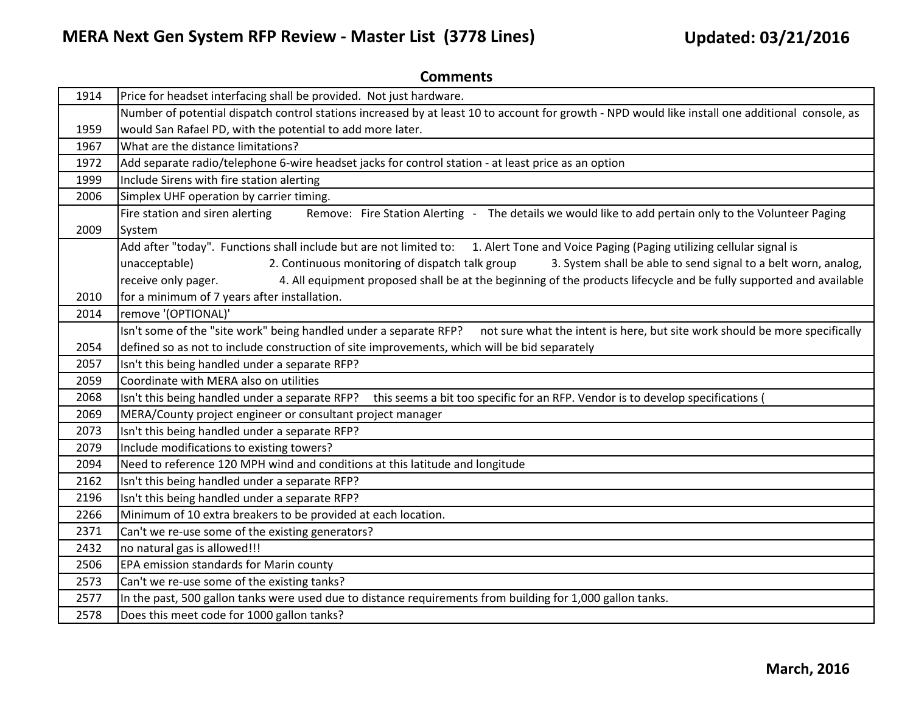| 1914 | Price for headset interfacing shall be provided. Not just hardware.                                                                              |
|------|--------------------------------------------------------------------------------------------------------------------------------------------------|
|      | Number of potential dispatch control stations increased by at least 10 to account for growth - NPD would like install one additional console, as |
| 1959 | would San Rafael PD, with the potential to add more later.                                                                                       |
| 1967 | What are the distance limitations?                                                                                                               |
| 1972 | Add separate radio/telephone 6-wire headset jacks for control station - at least price as an option                                              |
| 1999 | Include Sirens with fire station alerting                                                                                                        |
| 2006 | Simplex UHF operation by carrier timing.                                                                                                         |
|      | Remove: Fire Station Alerting - The details we would like to add pertain only to the Volunteer Paging<br>Fire station and siren alerting         |
| 2009 | System                                                                                                                                           |
|      | Add after "today". Functions shall include but are not limited to: 1. Alert Tone and Voice Paging (Paging utilizing cellular signal is           |
|      | 2. Continuous monitoring of dispatch talk group<br>3. System shall be able to send signal to a belt worn, analog,<br>unacceptable)               |
|      | 4. All equipment proposed shall be at the beginning of the products lifecycle and be fully supported and available<br>receive only pager.        |
| 2010 | for a minimum of 7 years after installation.                                                                                                     |
| 2014 | remove '(OPTIONAL)'                                                                                                                              |
|      | Isn't some of the "site work" being handled under a separate RFP? not sure what the intent is here, but site work should be more specifically    |
| 2054 | defined so as not to include construction of site improvements, which will be bid separately                                                     |
| 2057 | Isn't this being handled under a separate RFP?                                                                                                   |
| 2059 | Coordinate with MERA also on utilities                                                                                                           |
| 2068 | Isn't this being handled under a separate RFP? this seems a bit too specific for an RFP. Vendor is to develop specifications (                   |
| 2069 | MERA/County project engineer or consultant project manager                                                                                       |
| 2073 | Isn't this being handled under a separate RFP?                                                                                                   |
| 2079 | Include modifications to existing towers?                                                                                                        |
| 2094 | Need to reference 120 MPH wind and conditions at this latitude and longitude                                                                     |
| 2162 | Isn't this being handled under a separate RFP?                                                                                                   |
| 2196 | Isn't this being handled under a separate RFP?                                                                                                   |
| 2266 | Minimum of 10 extra breakers to be provided at each location.                                                                                    |
| 2371 | Can't we re-use some of the existing generators?                                                                                                 |
| 2432 | no natural gas is allowed!!!                                                                                                                     |
| 2506 | EPA emission standards for Marin county                                                                                                          |
| 2573 | Can't we re-use some of the existing tanks?                                                                                                      |
| 2577 | In the past, 500 gallon tanks were used due to distance requirements from building for 1,000 gallon tanks.                                       |
| 2578 | Does this meet code for 1000 gallon tanks?                                                                                                       |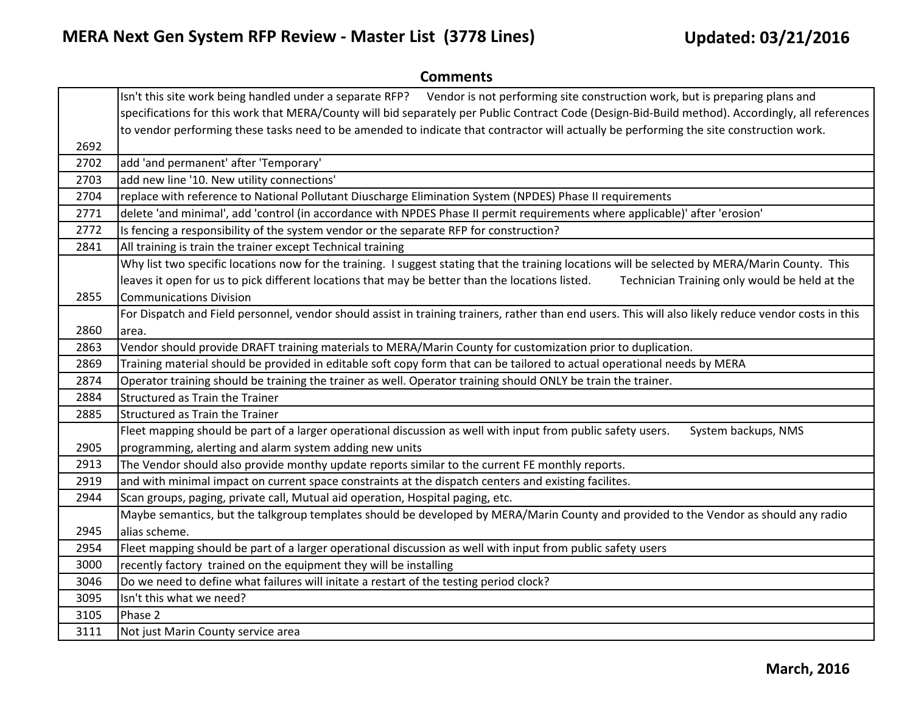|      | <b>Comments</b>                                                                                                                                       |
|------|-------------------------------------------------------------------------------------------------------------------------------------------------------|
|      | Isn't this site work being handled under a separate RFP?<br>Vendor is not performing site construction work, but is preparing plans and               |
|      | specifications for this work that MERA/County will bid separately per Public Contract Code (Design-Bid-Build method). Accordingly, all references     |
|      | to vendor performing these tasks need to be amended to indicate that contractor will actually be performing the site construction work.               |
| 2692 |                                                                                                                                                       |
| 2702 | add 'and permanent' after 'Temporary'                                                                                                                 |
| 2703 | add new line '10. New utility connections'                                                                                                            |
| 2704 | replace with reference to National Pollutant Diuscharge Elimination System (NPDES) Phase II requirements                                              |
| 2771 | delete 'and minimal', add 'control (in accordance with NPDES Phase II permit requirements where applicable)' after 'erosion'                          |
| 2772 | Is fencing a responsibility of the system vendor or the separate RFP for construction?                                                                |
| 2841 | All training is train the trainer except Technical training                                                                                           |
|      | Why list two specific locations now for the training. I suggest stating that the training locations will be selected by MERA/Marin County. This       |
|      | leaves it open for us to pick different locations that may be better than the locations listed.<br>Technician Training only would be held at the      |
| 2855 | <b>Communications Division</b>                                                                                                                        |
|      | For Dispatch and Field personnel, vendor should assist in training trainers, rather than end users. This will also likely reduce vendor costs in this |
| 2860 | area.                                                                                                                                                 |
| 2863 | Vendor should provide DRAFT training materials to MERA/Marin County for customization prior to duplication.                                           |
| 2869 | Training material should be provided in editable soft copy form that can be tailored to actual operational needs by MERA                              |
| 2874 | Operator training should be training the trainer as well. Operator training should ONLY be train the trainer.                                         |
| 2884 | Structured as Train the Trainer                                                                                                                       |
| 2885 | <b>Structured as Train the Trainer</b>                                                                                                                |
|      | Fleet mapping should be part of a larger operational discussion as well with input from public safety users.<br>System backups, NMS                   |
| 2905 | programming, alerting and alarm system adding new units                                                                                               |
| 2913 | The Vendor should also provide monthy update reports similar to the current FE monthly reports.                                                       |
| 2919 | and with minimal impact on current space constraints at the dispatch centers and existing facilites.                                                  |
| 2944 | Scan groups, paging, private call, Mutual aid operation, Hospital paging, etc.                                                                        |
|      | Maybe semantics, but the talkgroup templates should be developed by MERA/Marin County and provided to the Vendor as should any radio                  |
| 2945 | alias scheme.                                                                                                                                         |
| 2954 | Fleet mapping should be part of a larger operational discussion as well with input from public safety users                                           |
| 3000 | recently factory trained on the equipment they will be installing                                                                                     |
| 3046 | Do we need to define what failures will initate a restart of the testing period clock?                                                                |
| 3095 | Isn't this what we need?                                                                                                                              |
| 3105 | Phase 2                                                                                                                                               |
| 3111 | Not just Marin County service area                                                                                                                    |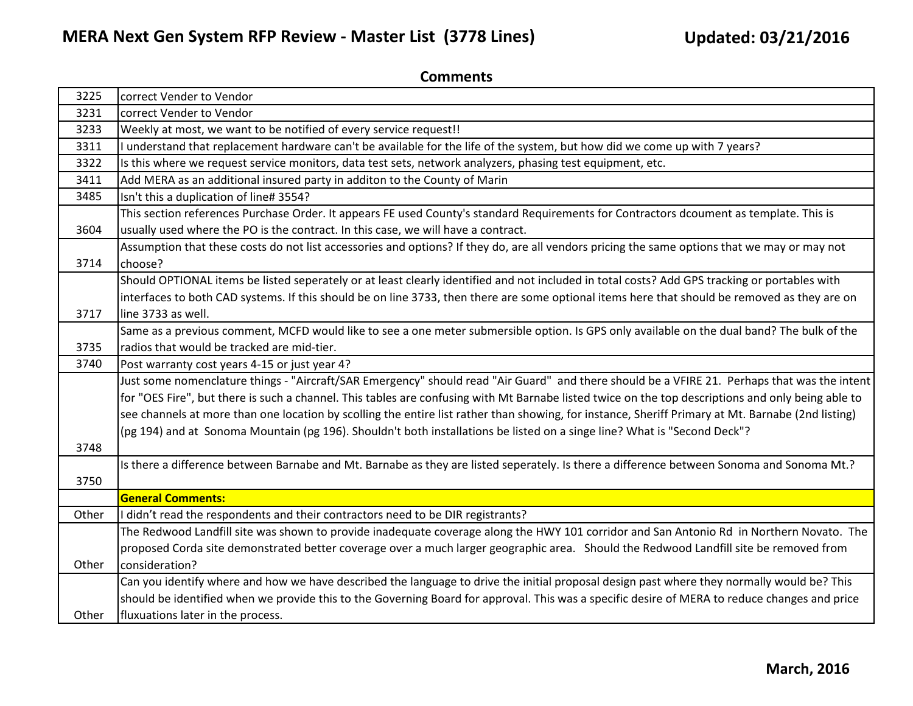| 3225  | correct Vender to Vendor                                                                                                                           |
|-------|----------------------------------------------------------------------------------------------------------------------------------------------------|
| 3231  | correct Vender to Vendor                                                                                                                           |
| 3233  | Weekly at most, we want to be notified of every service request!!                                                                                  |
| 3311  | understand that replacement hardware can't be available for the life of the system, but how did we come up with 7 years?                           |
| 3322  | Is this where we request service monitors, data test sets, network analyzers, phasing test equipment, etc.                                         |
| 3411  | Add MERA as an additional insured party in additon to the County of Marin                                                                          |
| 3485  | Isn't this a duplication of line# 3554?                                                                                                            |
|       | This section references Purchase Order. It appears FE used County's standard Requirements for Contractors dcoument as template. This is            |
| 3604  | usually used where the PO is the contract. In this case, we will have a contract.                                                                  |
|       | Assumption that these costs do not list accessories and options? If they do, are all vendors pricing the same options that we may or may not       |
| 3714  | choose?                                                                                                                                            |
|       | Should OPTIONAL items be listed seperately or at least clearly identified and not included in total costs? Add GPS tracking or portables with      |
|       | interfaces to both CAD systems. If this should be on line 3733, then there are some optional items here that should be removed as they are on      |
| 3717  | line 3733 as well.                                                                                                                                 |
|       | Same as a previous comment, MCFD would like to see a one meter submersible option. Is GPS only available on the dual band? The bulk of the         |
| 3735  | radios that would be tracked are mid-tier.                                                                                                         |
| 3740  | Post warranty cost years 4-15 or just year 4?                                                                                                      |
|       | Just some nomenclature things - "Aircraft/SAR Emergency" should read "Air Guard" and there should be a VFIRE 21. Perhaps that was the intent       |
|       | for "OES Fire", but there is such a channel. This tables are confusing with Mt Barnabe listed twice on the top descriptions and only being able to |
|       | see channels at more than one location by scolling the entire list rather than showing, for instance, Sheriff Primary at Mt. Barnabe (2nd listing) |
|       | (pg 194) and at Sonoma Mountain (pg 196). Shouldn't both installations be listed on a singe line? What is "Second Deck"?                           |
| 3748  |                                                                                                                                                    |
|       | Is there a difference between Barnabe and Mt. Barnabe as they are listed seperately. Is there a difference between Sonoma and Sonoma Mt.?          |
| 3750  |                                                                                                                                                    |
|       | <b>General Comments:</b>                                                                                                                           |
| Other | I didn't read the respondents and their contractors need to be DIR registrants?                                                                    |
|       | The Redwood Landfill site was shown to provide inadequate coverage along the HWY 101 corridor and San Antonio Rd in Northern Novato. The           |
|       | proposed Corda site demonstrated better coverage over a much larger geographic area. Should the Redwood Landfill site be removed from              |
| Other | consideration?                                                                                                                                     |
|       | Can you identify where and how we have described the language to drive the initial proposal design past where they normally would be? This         |
|       | should be identified when we provide this to the Governing Board for approval. This was a specific desire of MERA to reduce changes and price      |
| Other | fluxuations later in the process.                                                                                                                  |